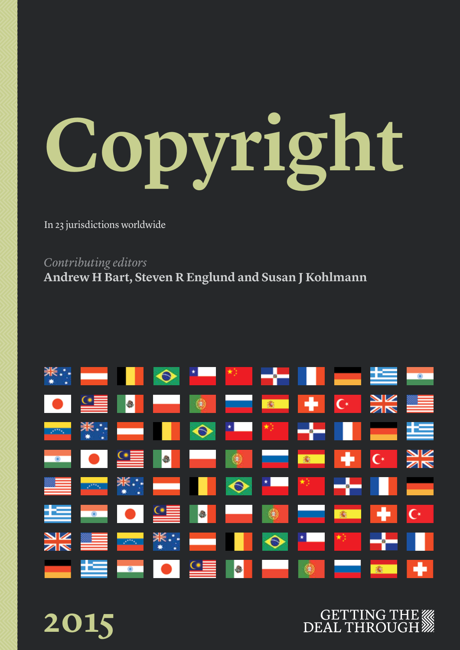# **Copyright**

In 23 jurisdictions worldwide

*Contributing editors* **Andrew H Bart, Steven R Englund and Susan J Kohlmann**



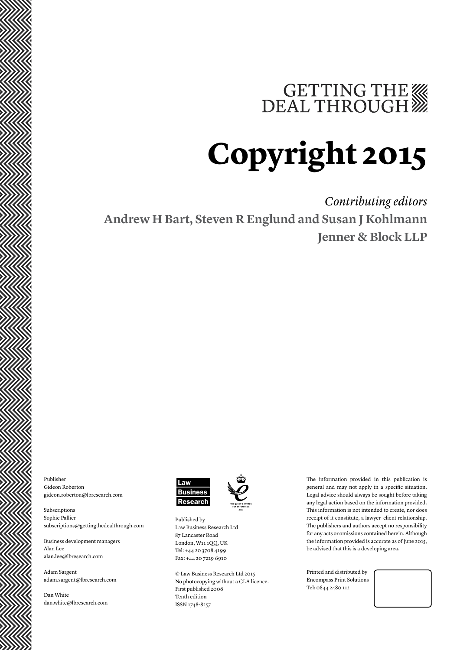## GETTING THE

## **Copyright 2015**

*Contributing editors* **Andrew H Bart, Steven R Englund and Susan J Kohlmann Jenner & Block LLP**

Publisher Gideon Roberton gideon.roberton@lbresearch.com

Subscriptions Sophie Pallier subscriptions@gettingthedealthrough.com

Business development managers Alan Lee alan.lee@lbresearch.com

Adam Sargent adam.sargent@lbresearch.com

Dan White dan.white@lbresearch.com



Published by Law Business Research Ltd 87 Lancaster Road London, W11 1QQ, UK Tel: +44 20 3708 4199 Fax: +44 20 7229 6910

© Law Business Research Ltd 2015 No photocopying without a CLA licence. First published 2006 Tenth edition ISSN 1748-8257

The information provided in this publication is general and may not apply in a specific situation. Legal advice should always be sought before taking any legal action based on the information provided. This information is not intended to create, nor does receipt of it constitute, a lawyer–client relationship. The publishers and authors accept no responsibility for any acts or omissions contained herein. Although the information provided is accurate as of June 2015, be advised that this is a developing area.

Printed and distributed by Encompass Print Solutions Tel: 0844 2480 112

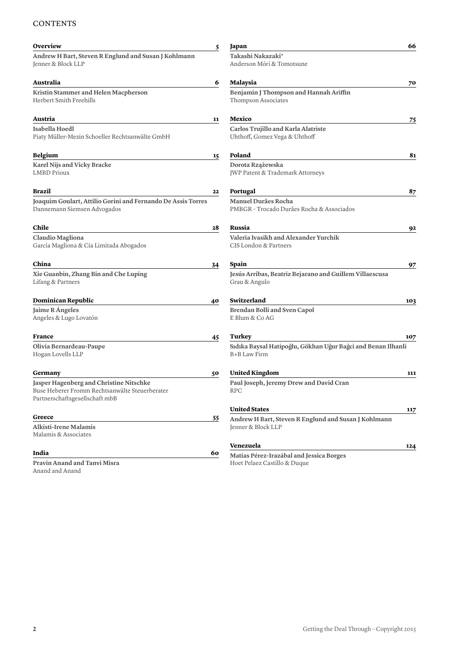#### **CONTENTS**

| Overview                                                                                                                    | 5  | Japan                                 |
|-----------------------------------------------------------------------------------------------------------------------------|----|---------------------------------------|
| Andrew H Bart, Steven R Englund and Susan J Kohlmann<br>Jenner & Block LLP                                                  |    | Takashi Naka:<br>Anderson Mōri        |
| Australia                                                                                                                   | 6  | Malaysia                              |
| Kristin Stammer and Helen Macpherson<br>Herbert Smith Freehills                                                             |    | Benjamin J Th<br>Thompson Ass         |
| Austria                                                                                                                     | 11 | Mexico                                |
| Isabella Hoedl<br>Piaty Müller-Mezin Schoeller Rechtsanwälte GmbH                                                           |    | Carlos Trujillo<br>Uhthoff, Gome      |
| <b>Belgium</b>                                                                                                              | 15 | Poland                                |
| Karel Nijs and Vicky Bracke<br><b>LMBD</b> Prioux                                                                           |    | Dorota Rzążew<br>JWP Patent & T       |
| <b>Brazil</b>                                                                                                               | 22 | Portugal                              |
| Joaquim Goulart, Attilio Gorini and Fernando De Assis Torres<br>Dannemann Siemsen Advogados                                 |    | Manuel Durãe<br>PMBGR-Troc            |
| Chile                                                                                                                       | 28 | Russia                                |
| <b>Claudio Magliona</b><br>García Magliona & Cía Limitada Abogados                                                          |    | Valeria Ivasikl<br>CIS London & 1     |
| China                                                                                                                       | 34 | Spain                                 |
| Xie Guanbin, Zhang Bin and Che Luping<br>Lifang & Partners                                                                  |    | Jesús Arribas,<br>Grau & Angulo       |
| Dominican Republic                                                                                                          | 40 | Switzerland                           |
| Jaime R Ángeles<br>Angeles & Lugo Lovatón                                                                                   |    | <b>Brendan Bolli</b><br>E Blum & Co A |
| France                                                                                                                      | 45 | Turkey                                |
| Olivia Bernardeau-Paupe<br>Hogan Lovells LLP                                                                                |    | Sidika Baysal I<br>B+B Law Firm       |
| Germany                                                                                                                     | 50 | United Kingd                          |
| Jasper Hagenberg and Christine Nitschke<br>Buse Heberer Fromm Rechtsanwälte Steuerberater<br>Partnerschaftsgesellschaft mbB |    | Paul Joseph, Je<br><b>RPC</b>         |
|                                                                                                                             |    | <b>United States</b>                  |
| Greece<br>Alkisti-Irene Malamis<br>Malamis & Associates                                                                     | 55 | <b>Andrew H Bar</b><br>Jenner & Block |
|                                                                                                                             |    | Venezuela                             |
| India                                                                                                                       | 60 | Matías Pérez-l                        |

**Pravin Anand and Tanvi Misra** Anand and Anand

| Japan                                                                        | 66  |
|------------------------------------------------------------------------------|-----|
| Takashi Nakazaki*<br>Anderson Mōri & Tomotsune                               |     |
| Malaysia                                                                     | 70  |
| Benjamin J Thompson and Hannah Ariffin<br>Thompson Associates                |     |
| Mexico                                                                       | 75  |
| Carlos Trujillo and Karla Alatriste<br>Uhthoff, Gomez Vega & Uhthoff         |     |
| Poland                                                                       | 81  |
| Dorota Rzążewska<br>JWP Patent & Trademark Attorneys                         |     |
| Portugal                                                                     | 87  |
| Manuel Durães Rocha<br>PMBGR - Trocado Durães Rocha & Associados             |     |
| Russia                                                                       | 92  |
| Valeria Ivasikh and Alexander Yurchik<br>CIS London & Partners               |     |
| Spain                                                                        | 97  |
| Jesús Arribas, Beatriz Bejarano and Guillem Villaescusa<br>Grau & Angulo     |     |
| Switzerland                                                                  | 103 |
| Brendan Bolli and Sven Capol<br>E Blum & Co AG                               |     |
| Turkey                                                                       | 107 |
| Sıdıka Baysal Hatipoğlu, Gökhan Uğur Bağci and Benan Ilhanli<br>B+B Law Firm |     |
| United Kingdom                                                               | 111 |
| Paul Joseph, Jeremy Drew and David Cran<br>RPC                               |     |
| <b>United States</b>                                                         | 117 |
| Andrew H Bart, Steven R Englund and Susan J Kohlmann<br>Jenner & Block LLP   |     |
| Venezuela                                                                    | 124 |
|                                                                              |     |

**Matías Pérez-Irazábal and Jessica Borges** Hoet Pelaez Castillo & Duque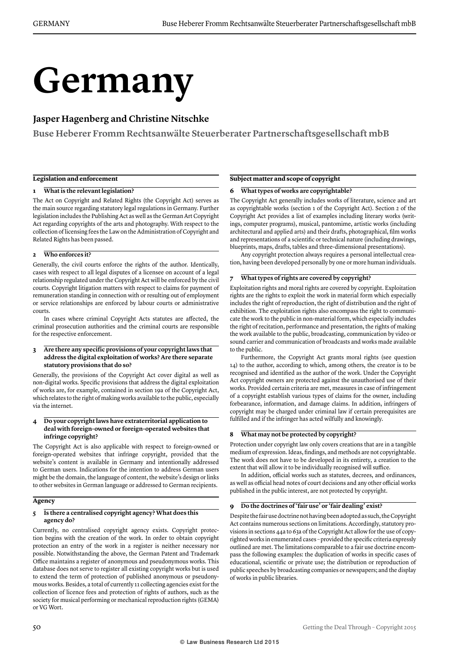## **Germany**

#### **Jasper Hagenberg and Christine Nitschke**

**Buse Heberer Fromm Rechtsanwälte Steuerberater Partnerschaftsgesellschaft mbB**

#### **Legislation and enforcement**

#### **1 What is the relevant legislation?**

The Act on Copyright and Related Rights (the Copyright Act) serves as the main source regarding statutory legal regulations in Germany. Further legislation includes the Publishing Act as well as the German Art Copyright Act regarding copyrights of the arts and photography. With respect to the collection of licensing fees the Law on the Administration of Copyright and Related Rights has been passed.

#### **2 Who enforces it?**

Generally, the civil courts enforce the rights of the author. Identically, cases with respect to all legal disputes of a licensee on account of a legal relationship regulated under the Copyright Act will be enforced by the civil courts. Copyright litigation matters with respect to claims for payment of remuneration standing in connection with or resulting out of employment or service relationships are enforced by labour courts or administrative courts.

In cases where criminal Copyright Acts statutes are affected, the criminal prosecution authorities and the criminal courts are responsible for the respective enforcement.

#### **3 Are there any specific provisions of your copyright laws that address the digital exploitation of works? Are there separate statutory provisions that do so?**

Generally, the provisions of the Copyright Act cover digital as well as non-digital works. Specific provisions that address the digital exploitation of works are, for example, contained in section 19a of the Copyright Act, which relates to the right of making works available to the public, especially via the internet.

#### **4 Do your copyright laws have extraterritorial application to deal with foreign-owned or foreign-operated websites that infringe copyright?**

The Copyright Act is also applicable with respect to foreign-owned or foreign-operated websites that infringe copyright, provided that the website's content is available in Germany and intentionally addressed to German users. Indications for the intention to address German users might be the domain, the language of content, the website's design or links to other websites in German language or addressed to German recipients.

#### **Agency**

#### **5 Is there a centralised copyright agency? What does this agency do?**

Currently, no centralised copyright agency exists. Copyright protection begins with the creation of the work. In order to obtain copyright protection an entry of the work in a register is neither necessary nor possible. Notwithstanding the above, the German Patent and Trademark Office maintains a register of anonymous and pseudonymous works. This database does not serve to register all existing copyright works but is used to extend the term of protection of published anonymous or pseudonymous works. Besides, a total of currently 11 collecting agencies exist for the collection of licence fees and protection of rights of authors, such as the society for musical performing or mechanical reproduction rights (GEMA) or VG Wort.

#### **Subject matter and scope of copyright**

#### **6 What types of works are copyrightable?**

The Copyright Act generally includes works of literature, science and art as copyrightable works (section 1 of the Copyright Act). Section 2 of the Copyright Act provides a list of examples including literary works (writings, computer programs), musical, pantomime, artistic works (including architectural and applied arts) and their drafts, photographical, film works and representations of a scientific or technical nature (including drawings, blueprints, maps, drafts, tables and three-dimensional presentations).

Any copyright protection always requires a personal intellectual creation, having been developed personally by one or more human individuals.

#### **7 What types of rights are covered by copyright?**

Exploitation rights and moral rights are covered by copyright. Exploitation rights are the rights to exploit the work in material form which especially includes the right of reproduction, the right of distribution and the right of exhibition. The exploitation rights also encompass the right to communicate the work to the public in non-material form, which especially includes the right of recitation, performance and presentation, the rights of making the work available to the public, broadcasting, communication by video or sound carrier and communication of broadcasts and works made available to the public.

Furthermore, the Copyright Act grants moral rights (see question 14) to the author, according to which, among others, the creator is to be recognised and identified as the author of the work. Under the Copyright Act copyright owners are protected against the unauthorised use of their works. Provided certain criteria are met, measures in case of infringement of a copyright establish various types of claims for the owner, including forbearance, information, and damage claims. In addition, infringers of copyright may be charged under criminal law if certain prerequisites are fulfilled and if the infringer has acted wilfully and knowingly.

#### **8 What may not be protected by copyright?**

Protection under copyright law only covers creations that are in a tangible medium of expression. Ideas, findings, and methods are not copyrightable. The work does not have to be developed in its entirety, a creation to the extent that will allow it to be individually recognised will suffice.

In addition, official works such as statutes, decrees, and ordinances, as well as official head notes of court decisions and any other official works published in the public interest, are not protected by copyright.

#### **9 Do the doctrines of 'fair use' or 'fair dealing' exist?**

Despite the fair use doctrine not having been adopted as such, the Copyright Act contains numerous sections on limitations. Accordingly, statutory provisions in sections 44a to 63a of the Copyright Act allow for the use of copyrighted works in enumerated cases – provided the specific criteria expressly outlined are met. The limitations comparable to a fair use doctrine encompass the following examples: the duplication of works in specific cases of educational, scientific or private use; the distribution or reproduction of public speeches by broadcasting companies or newspapers; and the display of works in public libraries.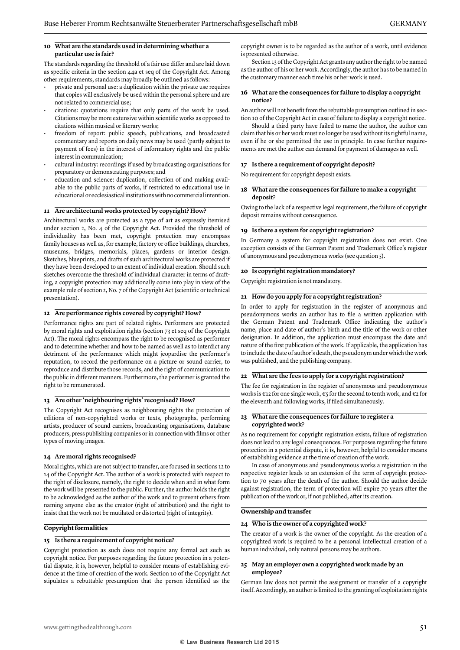#### **10 What are the standards used in determining whether a particular use is fair?**

The standards regarding the threshold of a fair use differ and are laid down as specific criteria in the section 44a et seq of the Copyright Act. Among other requirements, standards may broadly be outlined as follows:

- private and personal use: a duplication within the private use requires that copies will exclusively be used within the personal sphere and are not related to commercial use;
- citations: quotations require that only parts of the work be used. Citations may be more extensive within scientific works as opposed to citations within musical or literary works;
- freedom of report: public speech, publications, and broadcasted commentary and reports on daily news may be used (partly subject to payment of fees) in the interest of informatory rights and the public interest in communication;
- cultural industry: recordings if used by broadcasting organisations for preparatory or demonstrating purposes; and
- education and science: duplication, collection of and making available to the public parts of works, if restricted to educational use in educational or ecclesiastical institutions with no commercial intention.

#### **11 Are architectural works protected by copyright? How?**

Architectural works are protected as a type of art as expressly itemised under section 2, No. 4 of the Copyright Act. Provided the threshold of individuality has been met, copyright protection may encompass family houses as well as, for example, factory or office buildings, churches, museums, bridges, memorials, places, gardens or interior design. Sketches, blueprints, and drafts of such architectural works are protected if they have been developed to an extent of individual creation. Should such sketches overcome the threshold of individual character in terms of drafting, a copyright protection may additionally come into play in view of the example rule of section 2, No. 7 of the Copyright Act (scientific or technical presentation).

#### **12 Are performance rights covered by copyright? How?**

Performance rights are part of related rights. Performers are protected by moral rights and exploitation rights (section 73 et seq of the Copyright Act). The moral rights encompass the right to be recognised as performer and to determine whether and how to be named as well as to interdict any detriment of the performance which might jeopardise the performer's reputation, to record the performance on a picture or sound carrier, to reproduce and distribute those records, and the right of communication to the public in different manners. Furthermore, the performer is granted the right to be remunerated.

#### **13 Are other 'neighbouring rights' recognised? How?**

The Copyright Act recognises as neighbouring rights the protection of editions of non-copyrighted works or texts, photographs, performing artists, producer of sound carriers, broadcasting organisations, database producers, press publishing companies or in connection with films or other types of moving images.

#### **14 Are moral rights recognised?**

Moral rights, which are not subject to transfer, are focused in sections 12 to 14 of the Copyright Act. The author of a work is protected with respect to the right of disclosure, namely, the right to decide when and in what form the work will be presented to the public. Further, the author holds the right to be acknowledged as the author of the work and to prevent others from naming anyone else as the creator (right of attribution) and the right to insist that the work not be mutilated or distorted (right of integrity).

#### **Copyright formalities**

#### **15 Is there a requirement of copyright notice?**

Copyright protection as such does not require any formal act such as copyright notice. For purposes regarding the future protection in a potential dispute, it is, however, helpful to consider means of establishing evidence at the time of creation of the work. Section 10 of the Copyright Act stipulates a rebuttable presumption that the person identified as the copyright owner is to be regarded as the author of a work, until evidence is presented otherwise.

Section 13 of the Copyright Act grants any author the right to be named as the author of his or her work. Accordingly, the author has to be named in the customary manner each time his or her work is used.

#### **16 What are the consequences for failure to display a copyright notice?**

An author will not benefit from the rebuttable presumption outlined in section 10 of the Copyright Act in case of failure to display a copyright notice.

Should a third party have failed to name the author, the author can claim that his or her work must no longer be used without its rightful name, even if he or she permitted the use in principle. In case further requirements are met the author can demand for payment of damages as well.

#### **17 Is there a requirement of copyright deposit?**

No requirement for copyright deposit exists.

#### **18 What are the consequences for failure to make a copyright deposit?**

Owing to the lack of a respective legal requirement, the failure of copyright deposit remains without consequence.

#### **19 Is there a system for copyright registration?**

In Germany a system for copyright registration does not exist. One exception consists of the German Patent and Trademark Office's register of anonymous and pseudonymous works (see question 5).

#### **20 Is copyright registration mandatory?**

Copyright registration is not mandatory.

#### **21 How do you apply for a copyright registration?**

In order to apply for registration in the register of anonymous and pseudonymous works an author has to file a written application with the German Patent and Trademark Office indicating the author's name, place and date of author's birth and the title of the work or other designation. In addition, the application must encompass the date and nature of the first publication of the work. If applicable, the application has to include the date of author's death, the pseudonym under which the work was published, and the publishing company.

#### **22 What are the fees to apply for a copyright registration?**

The fee for registration in the register of anonymous and pseudonymous works is €12 for one single work, €5 for the second to tenth work, and €2 for the eleventh and following works, if filed simultaneously.

#### **23 What are the consequences for failure to register a copyrighted work?**

As no requirement for copyright registration exists, failure of registration does not lead to any legal consequences. For purposes regarding the future protection in a potential dispute, it is, however, helpful to consider means of establishing evidence at the time of creation of the work.

In case of anonymous and pseudonymous works a registration in the respective register leads to an extension of the term of copyright protection to 70 years after the death of the author. Should the author decide against registration, the term of protection will expire 70 years after the publication of the work or, if not published, after its creation.

#### **Ownership and transfer**

#### **24 Who is the owner of a copyrighted work?**

The creator of a work is the owner of the copyright. As the creation of a copyrighted work is required to be a personal intellectual creation of a human individual, only natural persons may be authors.

#### **25 May an employer own a copyrighted work made by an employee?**

German law does not permit the assignment or transfer of a copyright itself. Accordingly, an author is limited to the granting of exploitation rights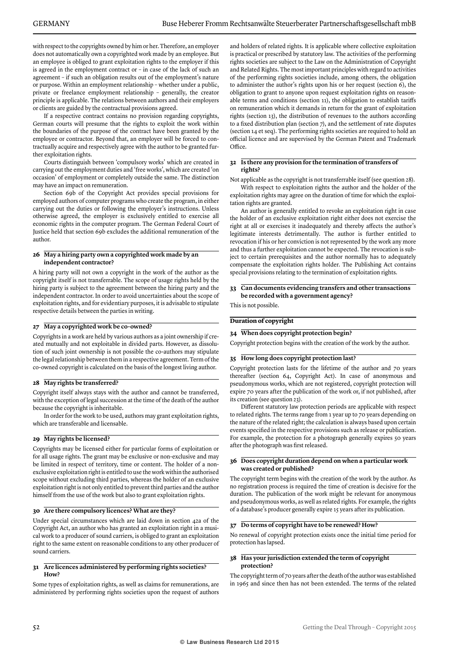with respect to the copyrights owned by him or her. Therefore, an employer does not automatically own a copyrighted work made by an employee. But an employee is obliged to grant exploitation rights to the employer if this is agreed in the employment contract or – in case of the lack of such an agreement – if such an obligation results out of the employment's nature or purpose. Within an employment relationship – whether under a public, private or freelance employment relationship – generally, the creator principle is applicable. The relations between authors and their employers or clients are guided by the contractual provisions agreed.

If a respective contract contains no provision regarding copyrights, German courts will presume that the rights to exploit the work within the boundaries of the purpose of the contract have been granted by the employee or contractor. Beyond that, an employer will be forced to contractually acquire and respectively agree with the author to be granted further exploitation rights.

Courts distinguish between 'compulsory works' which are created in carrying out the employment duties and 'free works', which are created 'on occasion' of employment or completely outside the same. The distinction may have an impact on remuneration.

Section 69b of the Copyright Act provides special provisions for employed authors of computer programs who create the program, in either carrying out the duties or following the employer's instructions. Unless otherwise agreed, the employer is exclusively entitled to exercise all economic rights in the computer program. The German Federal Court of Justice held that section 69b excludes the additional remuneration of the author.

#### **26 May a hiring party own a copyrighted work made by an independent contractor?**

A hiring party will not own a copyright in the work of the author as the copyright itself is not transferrable. The scope of usage rights held by the hiring party is subject to the agreement between the hiring party and the independent contractor. In order to avoid uncertainties about the scope of exploitation rights, and for evidentiary purposes, it is advisable to stipulate respective details between the parties in writing.

#### **27 May a copyrighted work be co-owned?**

Copyrights in a work are held by various authors as a joint ownership if created mutually and not exploitable in divided parts. However, as dissolution of such joint ownership is not possible the co-authors may stipulate the legal relationship between them in a respective agreement. Term of the co-owned copyright is calculated on the basis of the longest living author.

#### **28 May rights be transferred?**

Copyright itself always stays with the author and cannot be transferred, with the exception of legal succession at the time of the death of the author because the copyright is inheritable.

In order for the work to be used, authors may grant exploitation rights, which are transferable and licensable.

#### **29 May rights be licensed?**

Copyrights may be licensed either for particular forms of exploitation or for all usage rights. The grant may be exclusive or non-exclusive and may be limited in respect of territory, time or content. The holder of a nonexclusive exploitation right is entitled to use the work within the authorised scope without excluding third parties, whereas the holder of an exclusive exploitation right is not only entitled to prevent third parties and the author himself from the use of the work but also to grant exploitation rights.

#### **30 Are there compulsory licences? What are they?**

Under special circumstances which are laid down in section 42a of the Copyright Act, an author who has granted an exploitation right in a musical work to a producer of sound carriers, is obliged to grant an exploitation right to the same extent on reasonable conditions to any other producer of sound carriers.

#### **31 Are licences administered by performing rights societies? How?**

Some types of exploitation rights, as well as claims for remunerations, are administered by performing rights societies upon the request of authors

and holders of related rights. It is applicable where collective exploitation is practical or prescribed by statutory law. The activities of the performing rights societies are subject to the Law on the Administration of Copyright and Related Rights. The most important principles with regard to activities of the performing rights societies include, among others, the obligation to administer the author's rights upon his or her request (section 6), the obligation to grant to anyone upon request exploitation rights on reasonable terms and conditions (section 11), the obligation to establish tariffs on remuneration which it demands in return for the grant of exploitation rights (section 13), the distribution of revenues to the authors according to a fixed distribution plan (section 7), and the settlement of rate disputes (section 14 et seq). The performing rights societies are required to hold an official licence and are supervised by the German Patent and Trademark Office.

#### **32 Is there any provision for the termination of transfers of rights?**

Not applicable as the copyright is not transferrable itself (see question 28).

With respect to exploitation rights the author and the holder of the exploitation rights may agree on the duration of time for which the exploitation rights are granted.

An author is generally entitled to revoke an exploitation right in case the holder of an exclusive exploitation right either does not exercise the right at all or exercises it inadequately and thereby affects the author's legitimate interests detrimentally. The author is further entitled to revocation if his or her conviction is not represented by the work any more and thus a further exploitation cannot be expected. The revocation is subject to certain prerequisites and the author normally has to adequately compensate the exploitation rights holder. The Publishing Act contains special provisions relating to the termination of exploitation rights.

#### **33 Can documents evidencing transfers and other transactions be recorded with a government agency?**

This is not possible.

#### **Duration of copyright**

#### **34 When does copyright protection begin?**

Copyright protection begins with the creation of the work by the author.

#### **35 How long does copyright protection last?**

Copyright protection lasts for the lifetime of the author and 70 years thereafter (section 64, Copyright Act). In case of anonymous and pseudonymous works, which are not registered, copyright protection will expire 70 years after the publication of the work or, if not published, after its creation (see question 23).

Different statutory law protection periods are applicable with respect to related rights. The terms range from 1 year up to 70 years depending on the nature of the related right; the calculation is always based upon certain events specified in the respective provisions such as release or publication. For example, the protection for a photograph generally expires 50 years after the photograph was first released.

#### **36 Does copyright duration depend on when a particular work was created or published?**

The copyright term begins with the creation of the work by the author. As no registration process is required the time of creation is decisive for the duration. The publication of the work might be relevant for anonymous and pseudonymous works, as well as related rights. For example, the rights of a database's producer generally expire 15 years after its publication.

#### **37 Do terms of copyright have to be renewed? How?**

No renewal of copyright protection exists once the initial time period for protection has lapsed.

#### **38 Has your jurisdiction extended the term of copyright protection?**

The copyright term of 70 years after the death of the author was established in 1965 and since then has not been extended. The terms of the related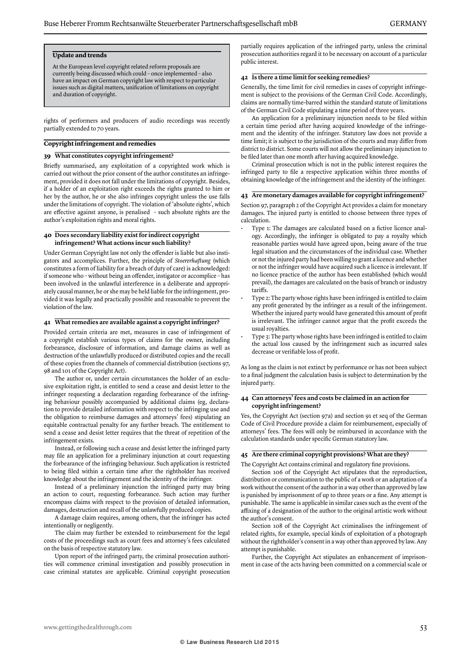#### **Update and trends**

At the European level copyright related reform proposals are currently being discussed which could – once implemented – also have an impact on German copyright law with respect to particular issues such as digital matters, unification of limitations on copyright and duration of copyright.

rights of performers and producers of audio recordings was recently partially extended to 70 years.

#### **Copyright infringement and remedies**

#### **39 What constitutes copyright infringement?**

Briefly summarised, any exploitation of a copyrighted work which is carried out without the prior consent of the author constitutes an infringement, provided it does not fall under the limitations of copyright. Besides, if a holder of an exploitation right exceeds the rights granted to him or her by the author, he or she also infringes copyright unless the use falls under the limitations of copyright. The violation of 'absolute rights', which are effective against anyone, is penalised – such absolute rights are the author's exploitation rights and moral rights.

#### **40 Does secondary liability exist for indirect copyright infringement? What actions incur such liability?**

Under German Copyright law not only the offender is liable but also instigators and accomplices. Further, the principle of *Stoererhaftung* (which constitutes a form of liability for a breach of duty of care) is acknowledged: if someone who – without being an offender, instigator or accomplice – has been involved in the unlawful interference in a deliberate and appropriately causal manner, he or she may be held liable for the infringement, provided it was legally and practically possible and reasonable to prevent the violation of the law.

#### **41 What remedies are available against a copyright infringer?**

Provided certain criteria are met, measures in case of infringement of a copyright establish various types of claims for the owner, including forbearance, disclosure of information, and damage claims as well as destruction of the unlawfully produced or distributed copies and the recall of these copies from the channels of commercial distribution (sections 97, 98 and 101 of the Copyright Act).

The author or, under certain circumstances the holder of an exclusive exploitation right, is entitled to send a cease and desist letter to the infringer requesting a declaration regarding forbearance of the infringing behaviour possibly accompanied by additional claims (eg, declaration to provide detailed information with respect to the infringing use and the obligation to reimburse damages and attorneys' fees) stipulating an equitable contractual penalty for any further breach. The entitlement to send a cease and desist letter requires that the threat of repetition of the infringement exists.

Instead, or following such a cease and desist letter the infringed party may file an application for a preliminary injunction at court requesting the forbearance of the infringing behaviour. Such application is restricted to being filed within a certain time after the rightholder has received knowledge about the infringement and the identity of the infringer.

Instead of a preliminary injunction the infringed party may bring an action to court, requesting forbearance. Such action may further encompass claims with respect to the provision of detailed information, damages, destruction and recall of the unlawfully produced copies.

A damage claim requires, among others, that the infringer has acted intentionally or negligently.

The claim may further be extended to reimbursement for the legal costs of the proceedings such as court fees and attorney's fees calculated on the basis of respective statutory law.

Upon report of the infringed party, the criminal prosecution authorities will commence criminal investigation and possibly prosecution in case criminal statutes are applicable. Criminal copyright prosecution partially requires application of the infringed party, unless the criminal prosecution authorities regard it to be necessary on account of a particular public interest.

#### **42 Is there a time limit for seeking remedies?**

Generally, the time limit for civil remedies in cases of copyright infringement is subject to the provisions of the German Civil Code. Accordingly, claims are normally time-barred within the standard statute of limitations of the German Civil Code stipulating a time period of three years.

An application for a preliminary injunction needs to be filed within a certain time period after having acquired knowledge of the infringement and the identity of the infringer. Statutory law does not provide a time limit; it is subject to the jurisdiction of the courts and may differ from district to district. Some courts will not allow the preliminary injunction to be filed later than one month after having acquired knowledge.

Criminal prosecution which is not in the public interest requires the infringed party to file a respective application within three months of obtaining knowledge of the infringement and the identity of the infringer.

#### **43 Are monetary damages available for copyright infringement?**

Section 97, paragraph 2 of the Copyright Act provides a claim for monetary damages. The injured party is entitled to choose between three types of calculation.

- Type 1: The damages are calculated based on a fictive licence analogy. Accordingly, the infringer is obligated to pay a royalty which reasonable parties would have agreed upon, being aware of the true legal situation and the circumstances of the individual case. Whether or not the injured party had been willing to grant a licence and whether or not the infringer would have acquired such a licence is irrelevant. If no licence practice of the author has been established (which would prevail), the damages are calculated on the basis of branch or industry tariffs.
- Type 2: The party whose rights have been infringed is entitled to claim any profit generated by the infringer as a result of the infringement. Whether the injured party would have generated this amount of profit is irrelevant. The infringer cannot argue that the profit exceeds the usual royalties.
- Type 3: The party whose rights have been infringed is entitled to claim the actual loss caused by the infringement such as incurred sales decrease or verifiable loss of profit.

As long as the claim is not extinct by performance or has not been subject to a final judgment the calculation basis is subject to determination by the injured party.

#### **44 Can attorneys' fees and costs be claimed in an action for copyright infringement?**

Yes, the Copyright Act (section 97a) and section 91 et seq of the German Code of Civil Procedure provide a claim for reimbursement, especially of attorneys' fees. The fees will only be reimbursed in accordance with the calculation standards under specific German statutory law.

#### **45 Are there criminal copyright provisions? What are they?**

The Copyright Act contains criminal and regulatory fine provisions.

Section 106 of the Copyright Act stipulates that the reproduction, distribution or communication to the public of a work or an adaptation of a work without the consent of the author in a way other than approved by law is punished by imprisonment of up to three years or a fine. Any attempt is punishable. The same is applicable in similar cases such as the event of the affixing of a designation of the author to the original artistic work without the author's consent.

Section 108 of the Copyright Act criminalises the infringement of related rights, for example, special kinds of exploitation of a photograph without the rightholder's consent in a way other than approved by law. Any attempt is punishable.

Further, the Copyright Act stipulates an enhancement of imprisonment in case of the acts having been committed on a commercial scale or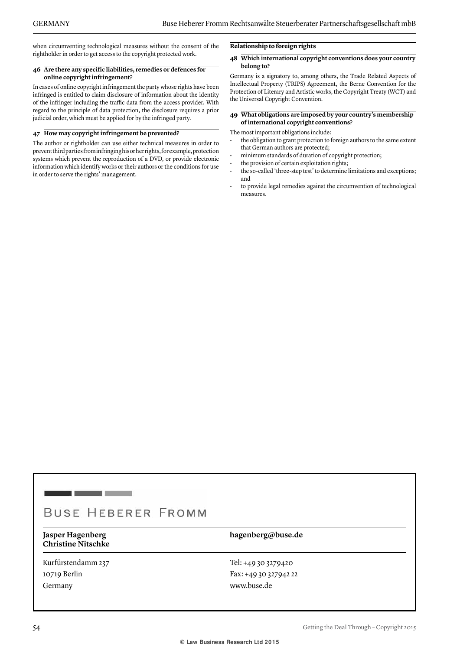when circumventing technological measures without the consent of the rightholder in order to get access to the copyright protected work.

#### **46 Are there any specific liabilities, remedies or defences for online copyright infringement?**

In cases of online copyright infringement the party whose rights have been infringed is entitled to claim disclosure of information about the identity of the infringer including the traffic data from the access provider. With regard to the principle of data protection, the disclosure requires a prior judicial order, which must be applied for by the infringed party.

#### **47 How may copyright infringement be prevented?**

The author or rightholder can use either technical measures in order to prevent third parties from infringing his or her rights, for example, protection systems which prevent the reproduction of a DVD, or provide electronic information which identify works or their authors or the conditions for use in order to serve the rights' management.

#### **Relationship to foreign rights**

#### **48 Which international copyright conventions does your country belong to?**

Germany is a signatory to, among others, the Trade Related Aspects of Intellectual Property (TRIPS) Agreement, the Berne Convention for the Protection of Literary and Artistic works, the Copyright Treaty (WCT) and the Universal Copyright Convention.

#### **49 What obligations are imposed by your country's membership of international copyright conventions?**

The most important obligations include:

- the obligation to grant protection to foreign authors to the same extent that German authors are protected;
- minimum standards of duration of copyright protection;
- the provision of certain exploitation rights;
- the so-called 'three-step test' to determine limitations and exceptions; and
- to provide legal remedies against the circumvention of technological measures.

#### **BUSE HEBERER FROMM**

**Christine Nitschke**

Kurfürstendamm 237 10719 Berlin Germany

#### **Jasper Hagenberg hagenberg@buse.de**

Tel: +49 30 3279420 Fax: +49 30 327942 22 www.buse.de